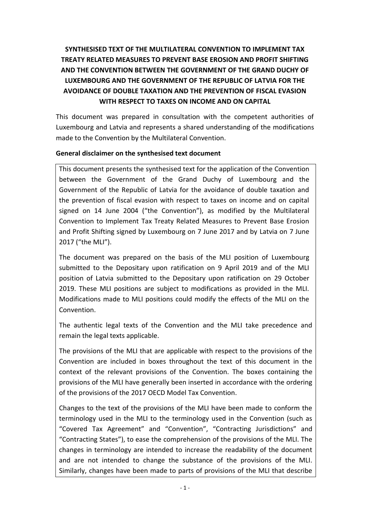## **SYNTHESISED TEXT OF THE MULTILATERAL CONVENTION TO IMPLEMENT TAX TREATY RELATED MEASURES TO PREVENT BASE EROSION AND PROFIT SHIFTING AND THE CONVENTION BETWEEN THE GOVERNMENT OF THE GRAND DUCHY OF LUXEMBOURG AND THE GOVERNMENT OF THE REPUBLIC OF LATVIA FOR THE AVOIDANCE OF DOUBLE TAXATION AND THE PREVENTION OF FISCAL EVASION WITH RESPECT TO TAXES ON INCOME AND ON CAPITAL**

This document was prepared in consultation with the competent authorities of Luxembourg and Latvia and represents a shared understanding of the modifications made to the Convention by the Multilateral Convention.

#### **General disclaimer on the synthesised text document**

This document presents the synthesised text for the application of the Convention between the Government of the Grand Duchy of Luxembourg and the Government of the Republic of Latvia for the avoidance of double taxation and the prevention of fiscal evasion with respect to taxes on income and on capital signed on 14 June 2004 ("the Convention"), as modified by the Multilateral Convention to Implement Tax Treaty Related Measures to Prevent Base Erosion and Profit Shifting signed by Luxembourg on 7 June 2017 and by Latvia on 7 June 2017 ("the MLI").

The document was prepared on the basis of the MLI position of Luxembourg submitted to the Depositary upon ratification on 9 April 2019 and of the MLI position of Latvia submitted to the Depositary upon ratification on 29 October 2019. These MLI positions are subject to modifications as provided in the MLI. Modifications made to MLI positions could modify the effects of the MLI on the Convention.

The authentic legal texts of the Convention and the MLI take precedence and remain the legal texts applicable.

The provisions of the MLI that are applicable with respect to the provisions of the Convention are included in boxes throughout the text of this document in the context of the relevant provisions of the Convention. The boxes containing the provisions of the MLI have generally been inserted in accordance with the ordering of the provisions of the 2017 OECD Model Tax Convention.

Changes to the text of the provisions of the MLI have been made to conform the terminology used in the MLI to the terminology used in the Convention (such as "Covered Tax Agreement" and "Convention", "Contracting Jurisdictions" and "Contracting States"), to ease the comprehension of the provisions of the MLI. The changes in terminology are intended to increase the readability of the document and are not intended to change the substance of the provisions of the MLI. Similarly, changes have been made to parts of provisions of the MLI that describe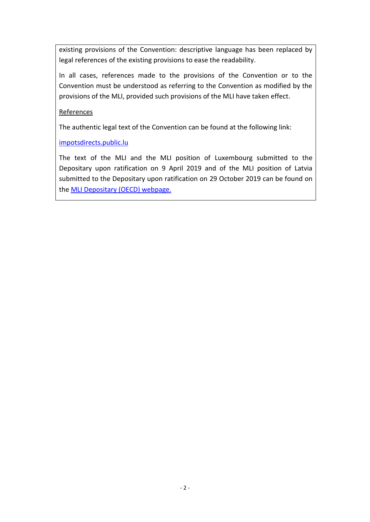existing provisions of the Convention: descriptive language has been replaced by legal references of the existing provisions to ease the readability.

In all cases, references made to the provisions of the Convention or to the Convention must be understood as referring to the Convention as modified by the provisions of the MLI, provided such provisions of the MLI have taken effect.

References

The authentic legal text of the Convention can be found at the following link:

[impotsdirects.public.lu](https://impotsdirects.public.lu/fr.html)

The text of the MLI and the MLI position of Luxembourg submitted to the Depositary upon ratification on 9 April 2019 and of the MLI position of Latvia submitted to the Depositary upon ratification on 29 October 2019 can be found on the [MLI Depositary \(OECD\) webpage.](https://www.oecd.org/tax/treaties/multilateral-convention-to-implement-tax-treaty-related-measures-to-prevent-beps.htm)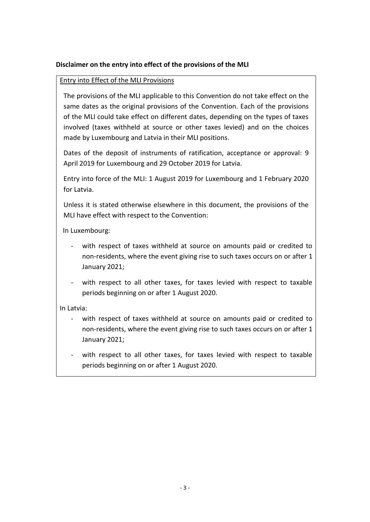## **Disclaimer on the entry into effect of the provisions of the MLI**

## Entry into Effect of the MLI Provisions

The provisions of the MLI applicable to this Convention do not take effect on the same dates as the original provisions of the Convention. Each of the provisions of the MLI could take effect on different dates, depending on the types of taxes involved (taxes withheld at source or other taxes levied) and on the choices made by Luxembourg and Latvia in their MLI positions.

Dates of the deposit of instruments of ratification, acceptance or approval: 9 April 2019 for Luxembourg and 29 October 2019 for Latvia.

Entry into force of the MLI: 1 August 2019 for Luxembourg and 1 February 2020 for Latvia.

Unless it is stated otherwise elsewhere in this document, the provisions of the MLI have effect with respect to the Convention:

In Luxembourg:

- with respect of taxes withheld at source on amounts paid or credited to non-residents, where the event giving rise to such taxes occurs on or after 1 January 2021;
- with respect to all other taxes, for taxes levied with respect to taxable periods beginning on or after 1 August 2020.

## In Latvia:

- with respect of taxes withheld at source on amounts paid or credited to non-residents, where the event giving rise to such taxes occurs on or after 1 January 2021;
- with respect to all other taxes, for taxes levied with respect to taxable periods beginning on or after 1 August 2020.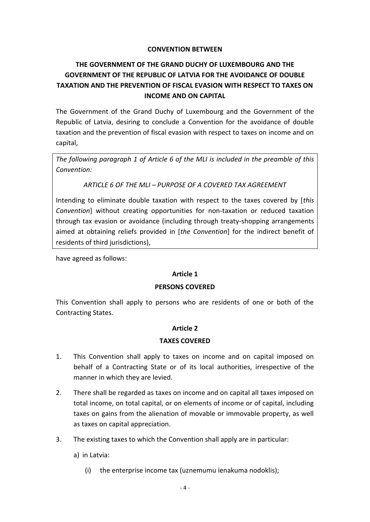#### **CONVENTION BETWEEN**

## **THE GOVERNMENT OF THE GRAND DUCHY OF LUXEMBOURG AND THE GOVERNMENT OF THE REPUBLIC OF LATVIA FOR THE AVOIDANCE OF DOUBLE TAXATION AND THE PREVENTION OF FISCAL EVASION WITH RESPECT TO TAXES ON INCOME AND ON CAPITAL**

The Government of the Grand Duchy of Luxembourg and the Government of the Republic of Latvia, desiring to conclude a Convention for the avoidance of double taxation and the prevention of fiscal evasion with respect to taxes on income and on capital,

*The following paragraph 1 of Article 6 of the MLI is included in the preamble of this Convention:*

*ARTICLE 6 OF THE MLI – PURPOSE OF A COVERED TAX AGREEMENT*

Intending to eliminate double taxation with respect to the taxes covered by [*this Convention*] without creating opportunities for non-taxation or reduced taxation through tax evasion or avoidance (including through treaty-shopping arrangements aimed at obtaining reliefs provided in [*the Convention*] for the indirect benefit of residents of third jurisdictions).

have agreed as follows:

## **Article 1**

#### **PERSONS COVERED**

This Convention shall apply to persons who are residents of one or both of the Contracting States.

## **Article 2**

## **TAXES COVERED**

- 1. This Convention shall apply to taxes on income and on capital imposed on behalf of a Contracting State or of its local authorities, irrespective of the manner in which they are levied.
- 2. There shall be regarded as taxes on income and on capital all taxes imposed on total income, on total capital, or on elements of income or of capital, including taxes on gains from the alienation of movable or immovable property, as well as taxes on capital appreciation.
- 3. The existing taxes to which the Convention shall apply are in particular:
	- a) in Latvia:
		- (i) the enterprise income tax (uznemumu ienakuma nodoklis);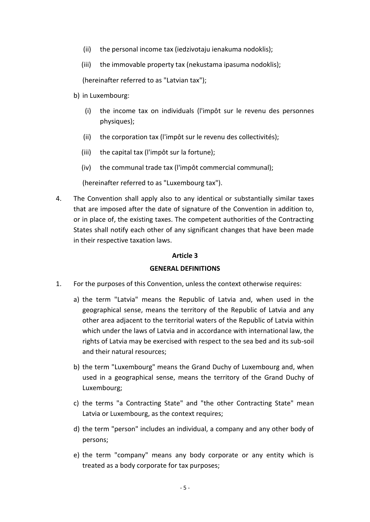- (ii) the personal income tax (iedzivotaju ienakuma nodoklis);
- (iii) the immovable property tax (nekustama ipasuma nodoklis);

(hereinafter referred to as "Latvian tax");

- b) in Luxembourg:
	- (i) the income tax on individuals (l'impôt sur le revenu des personnes physiques);
	- (ii) the corporation tax (l'impôt sur le revenu des collectivités);
	- (iii) the capital tax (l'impôt sur la fortune);
	- (iv) the communal trade tax (l'impôt commercial communal);

(hereinafter referred to as "Luxembourg tax").

4. The Convention shall apply also to any identical or substantially similar taxes that are imposed after the date of signature of the Convention in addition to, or in place of, the existing taxes. The competent authorities of the Contracting States shall notify each other of any significant changes that have been made in their respective taxation laws.

#### **Article 3**

#### **GENERAL DEFINITIONS**

- 1. For the purposes of this Convention, unless the context otherwise requires:
	- a) the term "Latvia" means the Republic of Latvia and, when used in the geographical sense, means the territory of the Republic of Latvia and any other area adjacent to the territorial waters of the Republic of Latvia within which under the laws of Latvia and in accordance with international law, the rights of Latvia may be exercised with respect to the sea bed and its sub-soil and their natural resources;
	- b) the term "Luxembourg" means the Grand Duchy of Luxembourg and, when used in a geographical sense, means the territory of the Grand Duchy of Luxembourg;
	- c) the terms "a Contracting State" and "the other Contracting State" mean Latvia or Luxembourg, as the context requires;
	- d) the term "person" includes an individual, a company and any other body of persons;
	- e) the term "company" means any body corporate or any entity which is treated as a body corporate for tax purposes;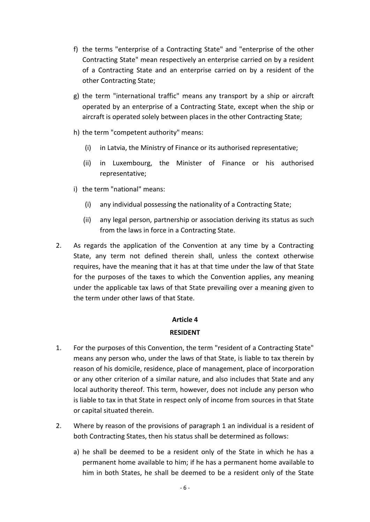- f) the terms "enterprise of a Contracting State" and "enterprise of the other Contracting State" mean respectively an enterprise carried on by a resident of a Contracting State and an enterprise carried on by a resident of the other Contracting State;
- g) the term "international traffic" means any transport by a ship or aircraft operated by an enterprise of a Contracting State, except when the ship or aircraft is operated solely between places in the other Contracting State;
- h) the term "competent authority" means:
	- (i) in Latvia, the Ministry of Finance or its authorised representative;
	- (ii) in Luxembourg, the Minister of Finance or his authorised representative;
- i) the term "national" means:
	- (i) any individual possessing the nationality of a Contracting State;
	- (ii) any legal person, partnership or association deriving its status as such from the laws in force in a Contracting State.
- 2. As regards the application of the Convention at any time by a Contracting State, any term not defined therein shall, unless the context otherwise requires, have the meaning that it has at that time under the law of that State for the purposes of the taxes to which the Convention applies, any meaning under the applicable tax laws of that State prevailing over a meaning given to the term under other laws of that State.

#### **RESIDENT**

- 1. For the purposes of this Convention, the term "resident of a Contracting State" means any person who, under the laws of that State, is liable to tax therein by reason of his domicile, residence, place of management, place of incorporation or any other criterion of a similar nature, and also includes that State and any local authority thereof. This term, however, does not include any person who is liable to tax in that State in respect only of income from sources in that State or capital situated therein.
- 2. Where by reason of the provisions of paragraph 1 an individual is a resident of both Contracting States, then his status shall be determined as follows:
	- a) he shall be deemed to be a resident only of the State in which he has a permanent home available to him; if he has a permanent home available to him in both States, he shall be deemed to be a resident only of the State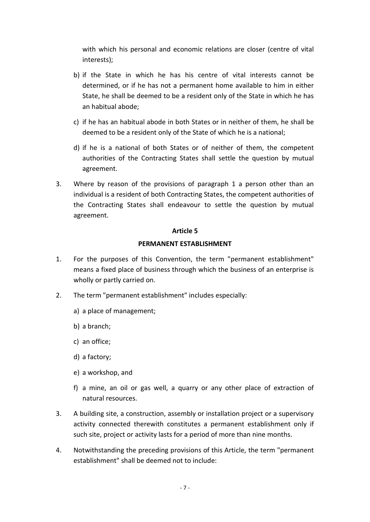with which his personal and economic relations are closer (centre of vital interests);

- b) if the State in which he has his centre of vital interests cannot be determined, or if he has not a permanent home available to him in either State, he shall be deemed to be a resident only of the State in which he has an habitual abode;
- c) if he has an habitual abode in both States or in neither of them, he shall be deemed to be a resident only of the State of which he is a national;
- d) if he is a national of both States or of neither of them, the competent authorities of the Contracting States shall settle the question by mutual agreement.
- 3. Where by reason of the provisions of paragraph 1 a person other than an individual is a resident of both Contracting States, the competent authorities of the Contracting States shall endeavour to settle the question by mutual agreement.

#### **Article 5**

#### **PERMANENT ESTABLISHMENT**

- 1. For the purposes of this Convention, the term "permanent establishment" means a fixed place of business through which the business of an enterprise is wholly or partly carried on.
- 2. The term "permanent establishment" includes especially:
	- a) a place of management;
	- b) a branch;
	- c) an office;
	- d) a factory;
	- e) a workshop, and
	- f) a mine, an oil or gas well, a quarry or any other place of extraction of natural resources.
- 3. A building site, a construction, assembly or installation project or a supervisory activity connected therewith constitutes a permanent establishment only if such site, project or activity lasts for a period of more than nine months.
- 4. Notwithstanding the preceding provisions of this Article, the term "permanent establishment" shall be deemed not to include: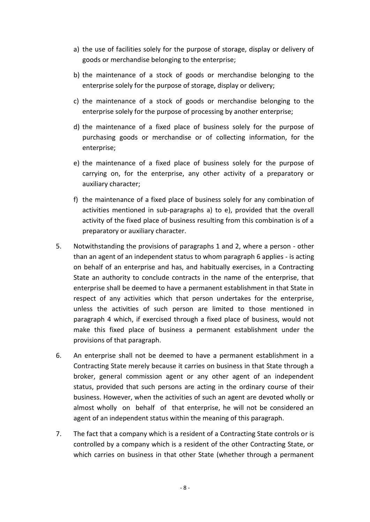- a) the use of facilities solely for the purpose of storage, display or delivery of goods or merchandise belonging to the enterprise;
- b) the maintenance of a stock of goods or merchandise belonging to the enterprise solely for the purpose of storage, display or delivery;
- c) the maintenance of a stock of goods or merchandise belonging to the enterprise solely for the purpose of processing by another enterprise;
- d) the maintenance of a fixed place of business solely for the purpose of purchasing goods or merchandise or of collecting information, for the enterprise;
- e) the maintenance of a fixed place of business solely for the purpose of carrying on, for the enterprise, any other activity of a preparatory or auxiliary character;
- f) the maintenance of a fixed place of business solely for any combination of activities mentioned in sub-paragraphs a) to e), provided that the overall activity of the fixed place of business resulting from this combination is of a preparatory or auxiliary character.
- 5. Notwithstanding the provisions of paragraphs 1 and 2, where a person other than an agent of an independent status to whom paragraph 6 applies - is acting on behalf of an enterprise and has, and habitually exercises, in a Contracting State an authority to conclude contracts in the name of the enterprise, that enterprise shall be deemed to have a permanent establishment in that State in respect of any activities which that person undertakes for the enterprise, unless the activities of such person are limited to those mentioned in paragraph 4 which, if exercised through a fixed place of business, would not make this fixed place of business a permanent establishment under the provisions of that paragraph.
- 6. An enterprise shall not be deemed to have a permanent establishment in a Contracting State merely because it carries on business in that State through a broker, general commission agent or any other agent of an independent status, provided that such persons are acting in the ordinary course of their business. However, when the activities of such an agent are devoted wholly or almost wholly on behalf of that enterprise, he will not be considered an agent of an independent status within the meaning of this paragraph.
- 7. The fact that a company which is a resident of a Contracting State controls or is controlled by a company which is a resident of the other Contracting State, or which carries on business in that other State (whether through a permanent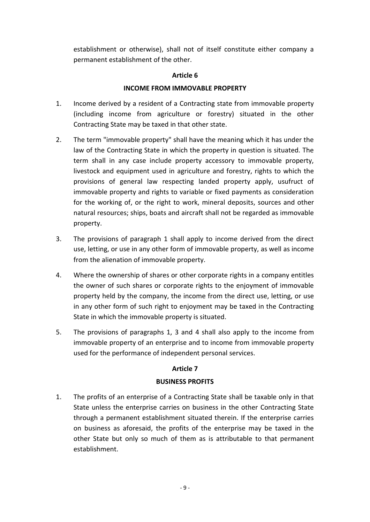establishment or otherwise), shall not of itself constitute either company a permanent establishment of the other.

#### **Article 6**

### **INCOME FROM IMMOVABLE PROPERTY**

- 1. Income derived by a resident of a Contracting state from immovable property (including income from agriculture or forestry) situated in the other Contracting State may be taxed in that other state.
- 2. The term "immovable property" shall have the meaning which it has under the law of the Contracting State in which the property in question is situated. The term shall in any case include property accessory to immovable property, livestock and equipment used in agriculture and forestry, rights to which the provisions of general law respecting landed property apply, usufruct of immovable property and rights to variable or fixed payments as consideration for the working of, or the right to work, mineral deposits, sources and other natural resources; ships, boats and aircraft shall not be regarded as immovable property.
- 3. The provisions of paragraph 1 shall apply to income derived from the direct use, letting, or use in any other form of immovable property, as well as income from the alienation of immovable property.
- 4. Where the ownership of shares or other corporate rights in a company entitles the owner of such shares or corporate rights to the enjoyment of immovable property held by the company, the income from the direct use, letting, or use in any other form of such right to enjoyment may be taxed in the Contracting State in which the immovable property is situated.
- 5. The provisions of paragraphs 1, 3 and 4 shall also apply to the income from immovable property of an enterprise and to income from immovable property used for the performance of independent personal services.

#### **Article 7**

#### **BUSINESS PROFITS**

1. The profits of an enterprise of a Contracting State shall be taxable only in that State unless the enterprise carries on business in the other Contracting State through a permanent establishment situated therein. If the enterprise carries on business as aforesaid, the profits of the enterprise may be taxed in the other State but only so much of them as is attributable to that permanent establishment.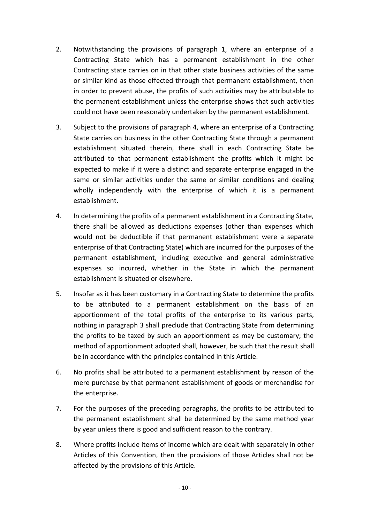- 2. Notwithstanding the provisions of paragraph 1, where an enterprise of a Contracting State which has a permanent establishment in the other Contracting state carries on in that other state business activities of the same or similar kind as those effected through that permanent establishment, then in order to prevent abuse, the profits of such activities may be attributable to the permanent establishment unless the enterprise shows that such activities could not have been reasonably undertaken by the permanent establishment.
- 3. Subject to the provisions of paragraph 4, where an enterprise of a Contracting State carries on business in the other Contracting State through a permanent establishment situated therein, there shall in each Contracting State be attributed to that permanent establishment the profits which it might be expected to make if it were a distinct and separate enterprise engaged in the same or similar activities under the same or similar conditions and dealing wholly independently with the enterprise of which it is a permanent establishment.
- 4. In determining the profits of a permanent establishment in a Contracting State, there shall be allowed as deductions expenses (other than expenses which would not be deductible if that permanent establishment were a separate enterprise of that Contracting State) which are incurred for the purposes of the permanent establishment, including executive and general administrative expenses so incurred, whether in the State in which the permanent establishment is situated or elsewhere.
- 5. Insofar as it has been customary in a Contracting State to determine the profits to be attributed to a permanent establishment on the basis of an apportionment of the total profits of the enterprise to its various parts, nothing in paragraph 3 shall preclude that Contracting State from determining the profits to be taxed by such an apportionment as may be customary; the method of apportionment adopted shall, however, be such that the result shall be in accordance with the principles contained in this Article.
- 6. No profits shall be attributed to a permanent establishment by reason of the mere purchase by that permanent establishment of goods or merchandise for the enterprise.
- 7. For the purposes of the preceding paragraphs, the profits to be attributed to the permanent establishment shall be determined by the same method year by year unless there is good and sufficient reason to the contrary.
- 8. Where profits include items of income which are dealt with separately in other Articles of this Convention, then the provisions of those Articles shall not be affected by the provisions of this Article.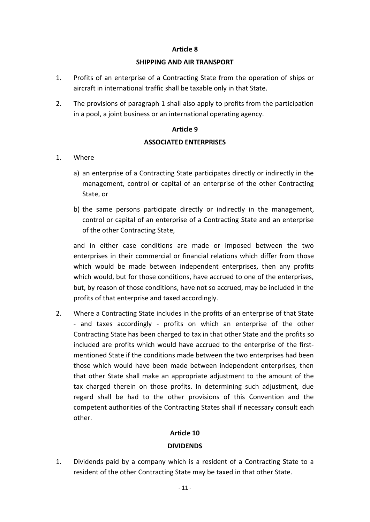#### **SHIPPING AND AIR TRANSPORT**

- 1. Profits of an enterprise of a Contracting State from the operation of ships or aircraft in international traffic shall be taxable only in that State.
- 2. The provisions of paragraph 1 shall also apply to profits from the participation in a pool, a joint business or an international operating agency.

#### **Article 9**

#### **ASSOCIATED ENTERPRISES**

- 1. Where
	- a) an enterprise of a Contracting State participates directly or indirectly in the management, control or capital of an enterprise of the other Contracting State, or
	- b) the same persons participate directly or indirectly in the management, control or capital of an enterprise of a Contracting State and an enterprise of the other Contracting State,

and in either case conditions are made or imposed between the two enterprises in their commercial or financial relations which differ from those which would be made between independent enterprises, then any profits which would, but for those conditions, have accrued to one of the enterprises, but, by reason of those conditions, have not so accrued, may be included in the profits of that enterprise and taxed accordingly.

2. Where a Contracting State includes in the profits of an enterprise of that State - and taxes accordingly - profits on which an enterprise of the other Contracting State has been charged to tax in that other State and the profits so included are profits which would have accrued to the enterprise of the firstmentioned State if the conditions made between the two enterprises had been those which would have been made between independent enterprises, then that other State shall make an appropriate adjustment to the amount of the tax charged therein on those profits. In determining such adjustment, due regard shall be had to the other provisions of this Convention and the competent authorities of the Contracting States shall if necessary consult each other.

## **Article 10**

## **DIVIDENDS**

1. Dividends paid by a company which is a resident of a Contracting State to a resident of the other Contracting State may be taxed in that other State.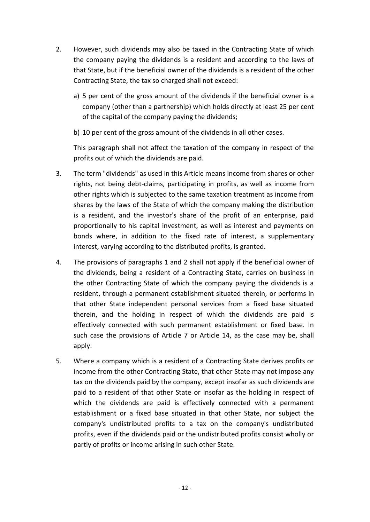- 2. However, such dividends may also be taxed in the Contracting State of which the company paying the dividends is a resident and according to the laws of that State, but if the beneficial owner of the dividends is a resident of the other Contracting State, the tax so charged shall not exceed:
	- a) 5 per cent of the gross amount of the dividends if the beneficial owner is a company (other than a partnership) which holds directly at least 25 per cent of the capital of the company paying the dividends;
	- b) 10 per cent of the gross amount of the dividends in all other cases.

This paragraph shall not affect the taxation of the company in respect of the profits out of which the dividends are paid.

- 3. The term "dividends" as used in this Article means income from shares or other rights, not being debt-claims, participating in profits, as well as income from other rights which is subjected to the same taxation treatment as income from shares by the laws of the State of which the company making the distribution is a resident, and the investor's share of the profit of an enterprise, paid proportionally to his capital investment, as well as interest and payments on bonds where, in addition to the fixed rate of interest, a supplementary interest, varying according to the distributed profits, is granted.
- 4. The provisions of paragraphs 1 and 2 shall not apply if the beneficial owner of the dividends, being a resident of a Contracting State, carries on business in the other Contracting State of which the company paying the dividends is a resident, through a permanent establishment situated therein, or performs in that other State independent personal services from a fixed base situated therein, and the holding in respect of which the dividends are paid is effectively connected with such permanent establishment or fixed base. In such case the provisions of Article 7 or Article 14, as the case may be, shall apply.
- 5. Where a company which is a resident of a Contracting State derives profits or income from the other Contracting State, that other State may not impose any tax on the dividends paid by the company, except insofar as such dividends are paid to a resident of that other State or insofar as the holding in respect of which the dividends are paid is effectively connected with a permanent establishment or a fixed base situated in that other State, nor subject the company's undistributed profits to a tax on the company's undistributed profits, even if the dividends paid or the undistributed profits consist wholly or partly of profits or income arising in such other State.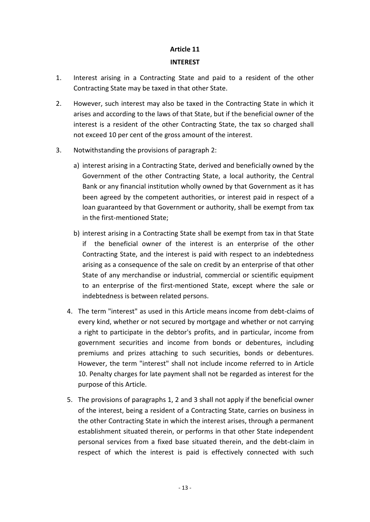#### **INTEREST**

- 1. Interest arising in a Contracting State and paid to a resident of the other Contracting State may be taxed in that other State.
- 2. However, such interest may also be taxed in the Contracting State in which it arises and according to the laws of that State, but if the beneficial owner of the interest is a resident of the other Contracting State, the tax so charged shall not exceed 10 per cent of the gross amount of the interest.
- 3. Notwithstanding the provisions of paragraph 2:
	- a) interest arising in a Contracting State, derived and beneficially owned by the Government of the other Contracting State, a local authority, the Central Bank or any financial institution wholly owned by that Government as it has been agreed by the competent authorities, or interest paid in respect of a loan guaranteed by that Government or authority, shall be exempt from tax in the first-mentioned State;
	- b) interest arising in a Contracting State shall be exempt from tax in that State if the beneficial owner of the interest is an enterprise of the other Contracting State, and the interest is paid with respect to an indebtedness arising as a consequence of the sale on credit by an enterprise of that other State of any merchandise or industrial, commercial or scientific equipment to an enterprise of the first-mentioned State, except where the sale or indebtedness is between related persons.
	- 4. The term "interest" as used in this Article means income from debt-claims of every kind, whether or not secured by mortgage and whether or not carrying a right to participate in the debtor's profits, and in particular, income from government securities and income from bonds or debentures, including premiums and prizes attaching to such securities, bonds or debentures. However, the term "interest" shall not include income referred to in Article 10. Penalty charges for late payment shall not be regarded as interest for the purpose of this Article.
	- 5. The provisions of paragraphs 1, 2 and 3 shall not apply if the beneficial owner of the interest, being a resident of a Contracting State, carries on business in the other Contracting State in which the interest arises, through a permanent establishment situated therein, or performs in that other State independent personal services from a fixed base situated therein, and the debt-claim in respect of which the interest is paid is effectively connected with such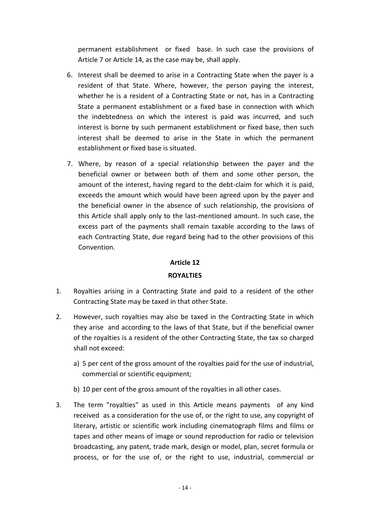permanent establishment or fixed base. In such case the provisions of Article 7 or Article 14, as the case may be, shall apply.

- 6. Interest shall be deemed to arise in a Contracting State when the payer is a resident of that State. Where, however, the person paying the interest, whether he is a resident of a Contracting State or not, has in a Contracting State a permanent establishment or a fixed base in connection with which the indebtedness on which the interest is paid was incurred, and such interest is borne by such permanent establishment or fixed base, then such interest shall be deemed to arise in the State in which the permanent establishment or fixed base is situated.
- 7. Where, by reason of a special relationship between the payer and the beneficial owner or between both of them and some other person, the amount of the interest, having regard to the debt-claim for which it is paid, exceeds the amount which would have been agreed upon by the payer and the beneficial owner in the absence of such relationship, the provisions of this Article shall apply only to the last-mentioned amount. In such case, the excess part of the payments shall remain taxable according to the laws of each Contracting State, due regard being had to the other provisions of this Convention.

## **Article 12**

## **ROYALTIES**

- 1. Royalties arising in a Contracting State and paid to a resident of the other Contracting State may be taxed in that other State.
- 2. However, such royalties may also be taxed in the Contracting State in which they arise and according to the laws of that State, but if the beneficial owner of the royalties is a resident of the other Contracting State, the tax so charged shall not exceed:
	- a) 5 per cent of the gross amount of the royalties paid for the use of industrial, commercial or scientific equipment;
	- b) 10 per cent of the gross amount of the royalties in all other cases.
- 3. The term "royalties" as used in this Article means payments of any kind received as a consideration for the use of, or the right to use, any copyright of literary, artistic or scientific work including cinematograph films and films or tapes and other means of image or sound reproduction for radio or television broadcasting, any patent, trade mark, design or model, plan, secret formula or process, or for the use of, or the right to use, industrial, commercial or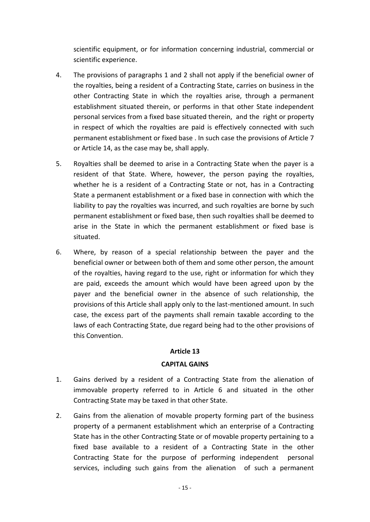scientific equipment, or for information concerning industrial, commercial or scientific experience.

- 4. The provisions of paragraphs 1 and 2 shall not apply if the beneficial owner of the royalties, being a resident of a Contracting State, carries on business in the other Contracting State in which the royalties arise, through a permanent establishment situated therein, or performs in that other State independent personal services from a fixed base situated therein, and the right or property in respect of which the royalties are paid is effectively connected with such permanent establishment or fixed base . In such case the provisions of Article 7 or Article 14, as the case may be, shall apply.
- 5. Royalties shall be deemed to arise in a Contracting State when the payer is a resident of that State. Where, however, the person paying the royalties, whether he is a resident of a Contracting State or not, has in a Contracting State a permanent establishment or a fixed base in connection with which the liability to pay the royalties was incurred, and such royalties are borne by such permanent establishment or fixed base, then such royalties shall be deemed to arise in the State in which the permanent establishment or fixed base is situated.
- 6. Where, by reason of a special relationship between the payer and the beneficial owner or between both of them and some other person, the amount of the royalties, having regard to the use, right or information for which they are paid, exceeds the amount which would have been agreed upon by the payer and the beneficial owner in the absence of such relationship, the provisions of this Article shall apply only to the last-mentioned amount. In such case, the excess part of the payments shall remain taxable according to the laws of each Contracting State, due regard being had to the other provisions of this Convention.

#### **Article 13**

#### **CAPITAL GAINS**

- 1. Gains derived by a resident of a Contracting State from the alienation of immovable property referred to in Article 6 and situated in the other Contracting State may be taxed in that other State.
- 2. Gains from the alienation of movable property forming part of the business property of a permanent establishment which an enterprise of a Contracting State has in the other Contracting State or of movable property pertaining to a fixed base available to a resident of a Contracting State in the other Contracting State for the purpose of performing independent personal services, including such gains from the alienation of such a permanent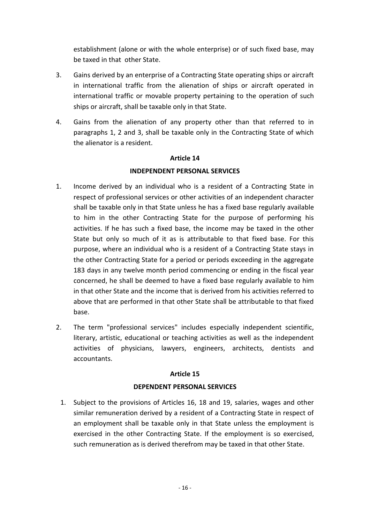establishment (alone or with the whole enterprise) or of such fixed base, may be taxed in that other State.

- 3. Gains derived by an enterprise of a Contracting State operating ships or aircraft in international traffic from the alienation of ships or aircraft operated in international traffic or movable property pertaining to the operation of such ships or aircraft, shall be taxable only in that State.
- 4. Gains from the alienation of any property other than that referred to in paragraphs 1, 2 and 3, shall be taxable only in the Contracting State of which the alienator is a resident.

#### **Article 14**

## **INDEPENDENT PERSONAL SERVICES**

- 1. Income derived by an individual who is a resident of a Contracting State in respect of professional services or other activities of an independent character shall be taxable only in that State unless he has a fixed base regularly available to him in the other Contracting State for the purpose of performing his activities. If he has such a fixed base, the income may be taxed in the other State but only so much of it as is attributable to that fixed base. For this purpose, where an individual who is a resident of a Contracting State stays in the other Contracting State for a period or periods exceeding in the aggregate 183 days in any twelve month period commencing or ending in the fiscal year concerned, he shall be deemed to have a fixed base regularly available to him in that other State and the income that is derived from his activities referred to above that are performed in that other State shall be attributable to that fixed base.
- 2. The term "professional services" includes especially independent scientific, literary, artistic, educational or teaching activities as well as the independent activities of physicians, lawyers, engineers, architects, dentists and accountants.

## **Article 15**

#### **DEPENDENT PERSONAL SERVICES**

1. Subject to the provisions of Articles 16, 18 and 19, salaries, wages and other similar remuneration derived by a resident of a Contracting State in respect of an employment shall be taxable only in that State unless the employment is exercised in the other Contracting State. If the employment is so exercised, such remuneration as is derived therefrom may be taxed in that other State.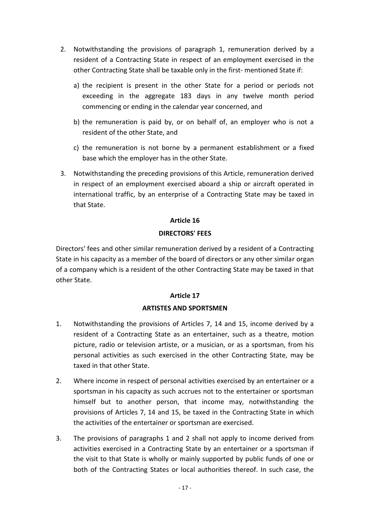- 2. Notwithstanding the provisions of paragraph 1, remuneration derived by a resident of a Contracting State in respect of an employment exercised in the other Contracting State shall be taxable only in the first- mentioned State if:
	- a) the recipient is present in the other State for a period or periods not exceeding in the aggregate 183 days in any twelve month period commencing or ending in the calendar year concerned, and
	- b) the remuneration is paid by, or on behalf of, an employer who is not a resident of the other State, and
	- c) the remuneration is not borne by a permanent establishment or a fixed base which the employer has in the other State.
- 3. Notwithstanding the preceding provisions of this Article, remuneration derived in respect of an employment exercised aboard a ship or aircraft operated in international traffic, by an enterprise of a Contracting State may be taxed in that State.

#### **DIRECTORS' FEES**

Directors' fees and other similar remuneration derived by a resident of a Contracting State in his capacity as a member of the board of directors or any other similar organ of a company which is a resident of the other Contracting State may be taxed in that other State.

## **Article 17**

## **ARTISTES AND SPORTSMEN**

- 1. Notwithstanding the provisions of Articles 7, 14 and 15, income derived by a resident of a Contracting State as an entertainer, such as a theatre, motion picture, radio or television artiste, or a musician, or as a sportsman, from his personal activities as such exercised in the other Contracting State, may be taxed in that other State.
- 2. Where income in respect of personal activities exercised by an entertainer or a sportsman in his capacity as such accrues not to the entertainer or sportsman himself but to another person, that income may, notwithstanding the provisions of Articles 7, 14 and 15, be taxed in the Contracting State in which the activities of the entertainer or sportsman are exercised.
- 3. The provisions of paragraphs 1 and 2 shall not apply to income derived from activities exercised in a Contracting State by an entertainer or a sportsman if the visit to that State is wholly or mainly supported by public funds of one or both of the Contracting States or local authorities thereof. In such case, the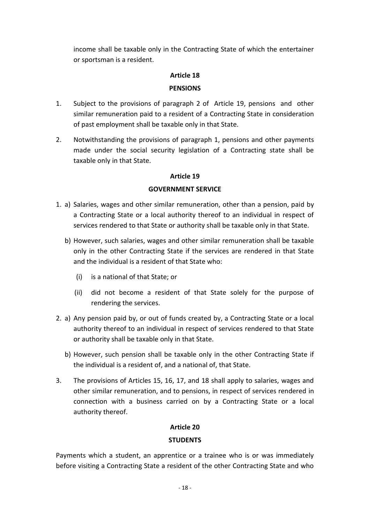income shall be taxable only in the Contracting State of which the entertainer or sportsman is a resident.

## **Article 18 PENSIONS**

- 1. Subject to the provisions of paragraph 2 of Article 19, pensions and other similar remuneration paid to a resident of a Contracting State in consideration of past employment shall be taxable only in that State.
- 2. Notwithstanding the provisions of paragraph 1, pensions and other payments made under the social security legislation of a Contracting state shall be taxable only in that State.

## **Article 19**

## **GOVERNMENT SERVICE**

- 1. a) Salaries, wages and other similar remuneration, other than a pension, paid by a Contracting State or a local authority thereof to an individual in respect of services rendered to that State or authority shall be taxable only in that State.
	- b) However, such salaries, wages and other similar remuneration shall be taxable only in the other Contracting State if the services are rendered in that State and the individual is a resident of that State who:
		- (i) is a national of that State; or
		- (ii) did not become a resident of that State solely for the purpose of rendering the services.
- 2. a) Any pension paid by, or out of funds created by, a Contracting State or a local authority thereof to an individual in respect of services rendered to that State or authority shall be taxable only in that State.
	- b) However, such pension shall be taxable only in the other Contracting State if the individual is a resident of, and a national of, that State.
- 3. The provisions of Articles 15, 16, 17, and 18 shall apply to salaries, wages and other similar remuneration, and to pensions, in respect of services rendered in connection with a business carried on by a Contracting State or a local authority thereof.

## **Article 20**

## **STUDENTS**

Payments which a student, an apprentice or a trainee who is or was immediately before visiting a Contracting State a resident of the other Contracting State and who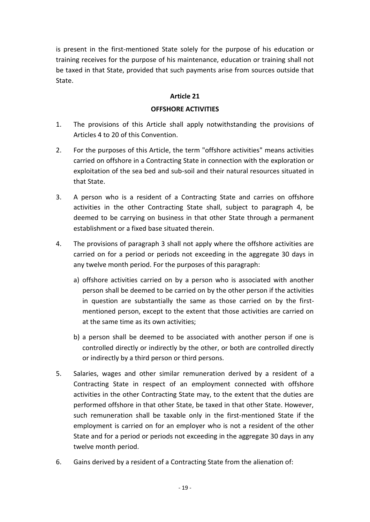is present in the first-mentioned State solely for the purpose of his education or training receives for the purpose of his maintenance, education or training shall not be taxed in that State, provided that such payments arise from sources outside that State.

## **Article 21**

## **OFFSHORE ACTIVITIES**

- 1. The provisions of this Article shall apply notwithstanding the provisions of Articles 4 to 20 of this Convention.
- 2. For the purposes of this Article, the term "offshore activities" means activities carried on offshore in a Contracting State in connection with the exploration or exploitation of the sea bed and sub-soil and their natural resources situated in that State.
- 3. A person who is a resident of a Contracting State and carries on offshore activities in the other Contracting State shall, subject to paragraph 4, be deemed to be carrying on business in that other State through a permanent establishment or a fixed base situated therein.
- 4. The provisions of paragraph 3 shall not apply where the offshore activities are carried on for a period or periods not exceeding in the aggregate 30 days in any twelve month period. For the purposes of this paragraph:
	- a) offshore activities carried on by a person who is associated with another person shall be deemed to be carried on by the other person if the activities in question are substantially the same as those carried on by the firstmentioned person, except to the extent that those activities are carried on at the same time as its own activities;
	- b) a person shall be deemed to be associated with another person if one is controlled directly or indirectly by the other, or both are controlled directly or indirectly by a third person or third persons.
- 5. Salaries, wages and other similar remuneration derived by a resident of a Contracting State in respect of an employment connected with offshore activities in the other Contracting State may, to the extent that the duties are performed offshore in that other State, be taxed in that other State. However, such remuneration shall be taxable only in the first-mentioned State if the employment is carried on for an employer who is not a resident of the other State and for a period or periods not exceeding in the aggregate 30 days in any twelve month period.
- 6. Gains derived by a resident of a Contracting State from the alienation of: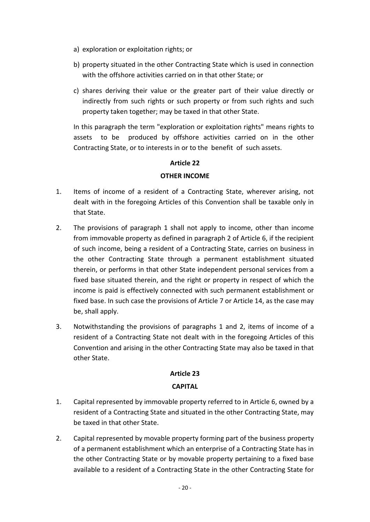- a) exploration or exploitation rights; or
- b) property situated in the other Contracting State which is used in connection with the offshore activities carried on in that other State; or
- c) shares deriving their value or the greater part of their value directly or indirectly from such rights or such property or from such rights and such property taken together; may be taxed in that other State.

In this paragraph the term "exploration or exploitation rights" means rights to assets to be produced by offshore activities carried on in the other Contracting State, or to interests in or to the benefit of such assets.

#### **Article 22**

#### **OTHER INCOME**

- 1. Items of income of a resident of a Contracting State, wherever arising, not dealt with in the foregoing Articles of this Convention shall be taxable only in that State.
- 2. The provisions of paragraph 1 shall not apply to income, other than income from immovable property as defined in paragraph 2 of Article 6, if the recipient of such income, being a resident of a Contracting State, carries on business in the other Contracting State through a permanent establishment situated therein, or performs in that other State independent personal services from a fixed base situated therein, and the right or property in respect of which the income is paid is effectively connected with such permanent establishment or fixed base. In such case the provisions of Article 7 or Article 14, as the case may be, shall apply.
- 3. Notwithstanding the provisions of paragraphs 1 and 2, items of income of a resident of a Contracting State not dealt with in the foregoing Articles of this Convention and arising in the other Contracting State may also be taxed in that other State.

## **Article 23**

## **CAPITAL**

- 1. Capital represented by immovable property referred to in Article 6, owned by a resident of a Contracting State and situated in the other Contracting State, may be taxed in that other State.
- 2. Capital represented by movable property forming part of the business property of a permanent establishment which an enterprise of a Contracting State has in the other Contracting State or by movable property pertaining to a fixed base available to a resident of a Contracting State in the other Contracting State for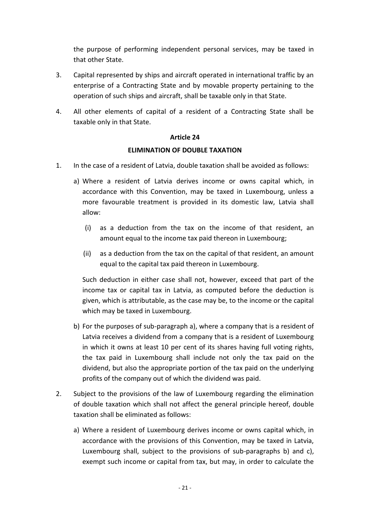the purpose of performing independent personal services, may be taxed in that other State.

- 3. Capital represented by ships and aircraft operated in international traffic by an enterprise of a Contracting State and by movable property pertaining to the operation of such ships and aircraft, shall be taxable only in that State.
- 4. All other elements of capital of a resident of a Contracting State shall be taxable only in that State.

#### **Article 24**

## **ELIMINATION OF DOUBLE TAXATION**

- 1. In the case of a resident of Latvia, double taxation shall be avoided as follows:
	- a) Where a resident of Latvia derives income or owns capital which, in accordance with this Convention, may be taxed in Luxembourg, unless a more favourable treatment is provided in its domestic law, Latvia shall allow:
		- (i) as a deduction from the tax on the income of that resident, an amount equal to the income tax paid thereon in Luxembourg;
		- (ii) as a deduction from the tax on the capital of that resident, an amount equal to the capital tax paid thereon in Luxembourg.

Such deduction in either case shall not, however, exceed that part of the income tax or capital tax in Latvia, as computed before the deduction is given, which is attributable, as the case may be, to the income or the capital which may be taxed in Luxembourg.

- b) For the purposes of sub-paragraph a), where a company that is a resident of Latvia receives a dividend from a company that is a resident of Luxembourg in which it owns at least 10 per cent of its shares having full voting rights, the tax paid in Luxembourg shall include not only the tax paid on the dividend, but also the appropriate portion of the tax paid on the underlying profits of the company out of which the dividend was paid.
- 2. Subject to the provisions of the law of Luxembourg regarding the elimination of double taxation which shall not affect the general principle hereof, double taxation shall be eliminated as follows:
	- a) Where a resident of Luxembourg derives income or owns capital which, in accordance with the provisions of this Convention, may be taxed in Latvia, Luxembourg shall, subject to the provisions of sub-paragraphs b) and c), exempt such income or capital from tax, but may, in order to calculate the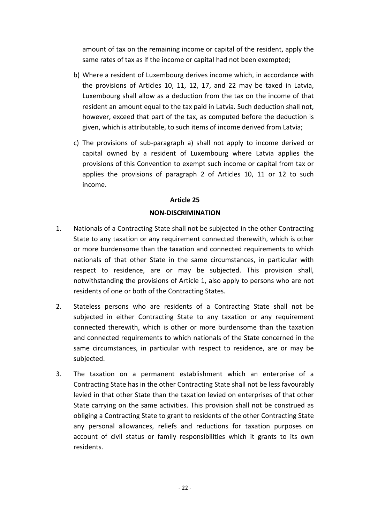amount of tax on the remaining income or capital of the resident, apply the same rates of tax as if the income or capital had not been exempted;

- b) Where a resident of Luxembourg derives income which, in accordance with the provisions of Articles 10, 11, 12, 17, and 22 may be taxed in Latvia, Luxembourg shall allow as a deduction from the tax on the income of that resident an amount equal to the tax paid in Latvia. Such deduction shall not, however, exceed that part of the tax, as computed before the deduction is given, which is attributable, to such items of income derived from Latvia;
- c) The provisions of sub-paragraph a) shall not apply to income derived or capital owned by a resident of Luxembourg where Latvia applies the provisions of this Convention to exempt such income or capital from tax or applies the provisions of paragraph 2 of Articles 10, 11 or 12 to such income.

## **Article 25**

#### **NON-DISCRIMINATION**

- 1. Nationals of a Contracting State shall not be subjected in the other Contracting State to any taxation or any requirement connected therewith, which is other or more burdensome than the taxation and connected requirements to which nationals of that other State in the same circumstances, in particular with respect to residence, are or may be subjected. This provision shall, notwithstanding the provisions of Article 1, also apply to persons who are not residents of one or both of the Contracting States.
- 2. Stateless persons who are residents of a Contracting State shall not be subjected in either Contracting State to any taxation or any requirement connected therewith, which is other or more burdensome than the taxation and connected requirements to which nationals of the State concerned in the same circumstances, in particular with respect to residence, are or may be subjected.
- 3. The taxation on a permanent establishment which an enterprise of a Contracting State has in the other Contracting State shall not be less favourably levied in that other State than the taxation levied on enterprises of that other State carrying on the same activities. This provision shall not be construed as obliging a Contracting State to grant to residents of the other Contracting State any personal allowances, reliefs and reductions for taxation purposes on account of civil status or family responsibilities which it grants to its own residents.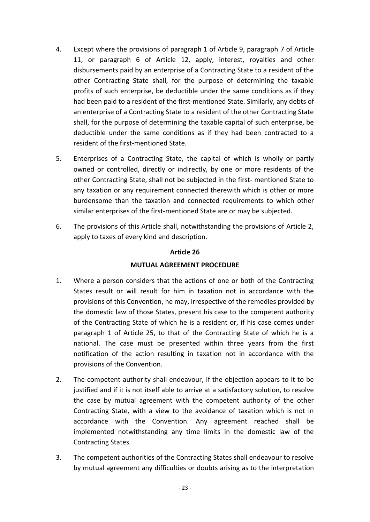- 4. Except where the provisions of paragraph 1 of Article 9, paragraph 7 of Article 11, or paragraph 6 of Article 12, apply, interest, royalties and other disbursements paid by an enterprise of a Contracting State to a resident of the other Contracting State shall, for the purpose of determining the taxable profits of such enterprise, be deductible under the same conditions as if they had been paid to a resident of the first-mentioned State. Similarly, any debts of an enterprise of a Contracting State to a resident of the other Contracting State shall, for the purpose of determining the taxable capital of such enterprise, be deductible under the same conditions as if they had been contracted to a resident of the first-mentioned State.
- 5. Enterprises of a Contracting State, the capital of which is wholly or partly owned or controlled, directly or indirectly, by one or more residents of the other Contracting State, shall not be subjected in the first- mentioned State to any taxation or any requirement connected therewith which is other or more burdensome than the taxation and connected requirements to which other similar enterprises of the first-mentioned State are or may be subjected.
- 6. The provisions of this Article shall, notwithstanding the provisions of Article 2, apply to taxes of every kind and description.

### **MUTUAL AGREEMENT PROCEDURE**

- 1. Where a person considers that the actions of one or both of the Contracting States result or will result for him in taxation not in accordance with the provisions of this Convention, he may, irrespective of the remedies provided by the domestic law of those States, present his case to the competent authority of the Contracting State of which he is a resident or, if his case comes under paragraph 1 of Article 25, to that of the Contracting State of which he is a national. The case must be presented within three years from the first notification of the action resulting in taxation not in accordance with the provisions of the Convention.
- 2. The competent authority shall endeavour, if the objection appears to it to be justified and if it is not itself able to arrive at a satisfactory solution, to resolve the case by mutual agreement with the competent authority of the other Contracting State, with a view to the avoidance of taxation which is not in accordance with the Convention. Any agreement reached shall be implemented notwithstanding any time limits in the domestic law of the Contracting States.
- 3. The competent authorities of the Contracting States shall endeavour to resolve by mutual agreement any difficulties or doubts arising as to the interpretation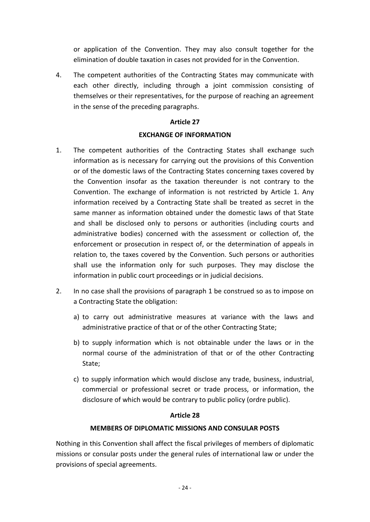or application of the Convention. They may also consult together for the elimination of double taxation in cases not provided for in the Convention.

4. The competent authorities of the Contracting States may communicate with each other directly, including through a joint commission consisting of themselves or their representatives, for the purpose of reaching an agreement in the sense of the preceding paragraphs.

#### **Article 27**

#### **EXCHANGE OF INFORMATION**

- 1. The competent authorities of the Contracting States shall exchange such information as is necessary for carrying out the provisions of this Convention or of the domestic laws of the Contracting States concerning taxes covered by the Convention insofar as the taxation thereunder is not contrary to the Convention. The exchange of information is not restricted by Article 1. Any information received by a Contracting State shall be treated as secret in the same manner as information obtained under the domestic laws of that State and shall be disclosed only to persons or authorities (including courts and administrative bodies) concerned with the assessment or collection of, the enforcement or prosecution in respect of, or the determination of appeals in relation to, the taxes covered by the Convention. Such persons or authorities shall use the information only for such purposes. They may disclose the information in public court proceedings or in judicial decisions.
- 2. In no case shall the provisions of paragraph 1 be construed so as to impose on a Contracting State the obligation:
	- a) to carry out administrative measures at variance with the laws and administrative practice of that or of the other Contracting State;
	- b) to supply information which is not obtainable under the laws or in the normal course of the administration of that or of the other Contracting State;
	- c) to supply information which would disclose any trade, business, industrial, commercial or professional secret or trade process, or information, the disclosure of which would be contrary to public policy (ordre public).

## **Article 28**

## **MEMBERS OF DIPLOMATIC MISSIONS AND CONSULAR POSTS**

Nothing in this Convention shall affect the fiscal privileges of members of diplomatic missions or consular posts under the general rules of international law or under the provisions of special agreements.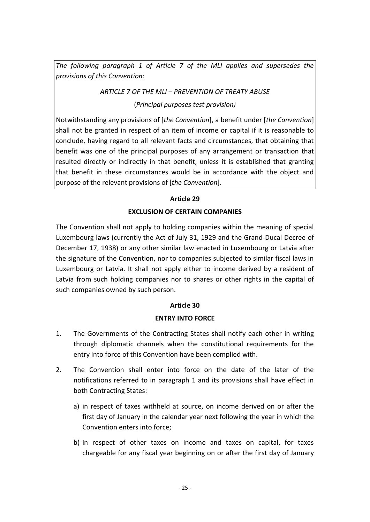*The following paragraph 1 of Article 7 of the MLI applies and supersedes the provisions of this Convention:*

*ARTICLE 7 OF THE MLI – PREVENTION OF TREATY ABUSE*

(*Principal purposes test provision)*

Notwithstanding any provisions of [*the Convention*], a benefit under [*the Convention*] shall not be granted in respect of an item of income or capital if it is reasonable to conclude, having regard to all relevant facts and circumstances, that obtaining that benefit was one of the principal purposes of any arrangement or transaction that resulted directly or indirectly in that benefit, unless it is established that granting that benefit in these circumstances would be in accordance with the object and purpose of the relevant provisions of [*the Convention*].

## **Article 29**

## **EXCLUSION OF CERTAIN COMPANIES**

The Convention shall not apply to holding companies within the meaning of special Luxembourg laws (currently the Act of July 31, 1929 and the Grand-Ducal Decree of December 17, 1938) or any other similar law enacted in Luxembourg or Latvia after the signature of the Convention, nor to companies subjected to similar fiscal laws in Luxembourg or Latvia. It shall not apply either to income derived by a resident of Latvia from such holding companies nor to shares or other rights in the capital of such companies owned by such person.

## **Article 30**

## **ENTRY INTO FORCE**

- 1. The Governments of the Contracting States shall notify each other in writing through diplomatic channels when the constitutional requirements for the entry into force of this Convention have been complied with.
- 2. The Convention shall enter into force on the date of the later of the notifications referred to in paragraph 1 and its provisions shall have effect in both Contracting States:
	- a) in respect of taxes withheld at source, on income derived on or after the first day of January in the calendar year next following the year in which the Convention enters into force;
	- b) in respect of other taxes on income and taxes on capital, for taxes chargeable for any fiscal year beginning on or after the first day of January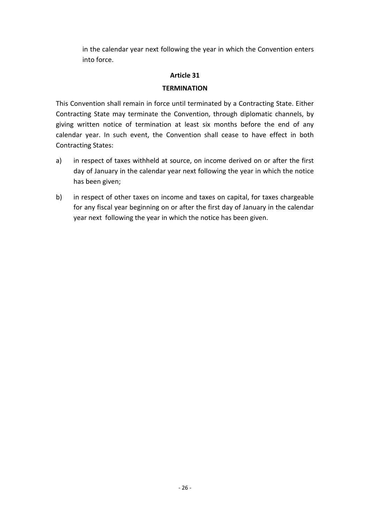in the calendar year next following the year in which the Convention enters into force.

## **Article 31**

## **TERMINATION**

This Convention shall remain in force until terminated by a Contracting State. Either Contracting State may terminate the Convention, through diplomatic channels, by giving written notice of termination at least six months before the end of any calendar year. In such event, the Convention shall cease to have effect in both Contracting States:

- a) in respect of taxes withheld at source, on income derived on or after the first day of January in the calendar year next following the year in which the notice has been given;
- b) in respect of other taxes on income and taxes on capital, for taxes chargeable for any fiscal year beginning on or after the first day of January in the calendar year next following the year in which the notice has been given.